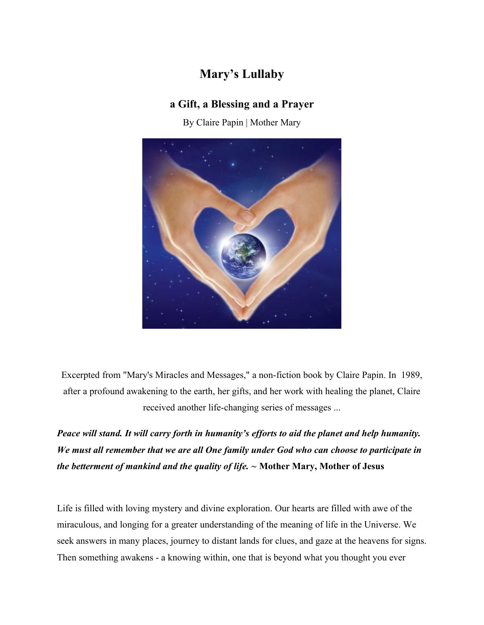## **Mary's Lullaby**

### **a Gift, a Blessing and a Prayer**

By Claire Papin | Mother Mary



Excerpted from "Mary's Miracles and Messages," a non-fiction book by Claire Papin. In 1989, after a profound awakening to the earth, her gifts, and her work with healing the planet, Claire received another life-changing series of messages ...

*Peace will stand. It will carry forth in humanity's efforts to aid the planet and help humanity. We must all remember that we are all One family under God who can choose to participate in the betterment of mankind and the quality of life. ~* **Mother Mary, Mother of Jesus**

Life is filled with loving mystery and divine exploration. Our hearts are filled with awe of the miraculous, and longing for a greater understanding of the meaning of life in the Universe. We seek answers in many places, journey to distant lands for clues, and gaze at the heavens for signs. Then something awakens - a knowing within, one that is beyond what you thought you ever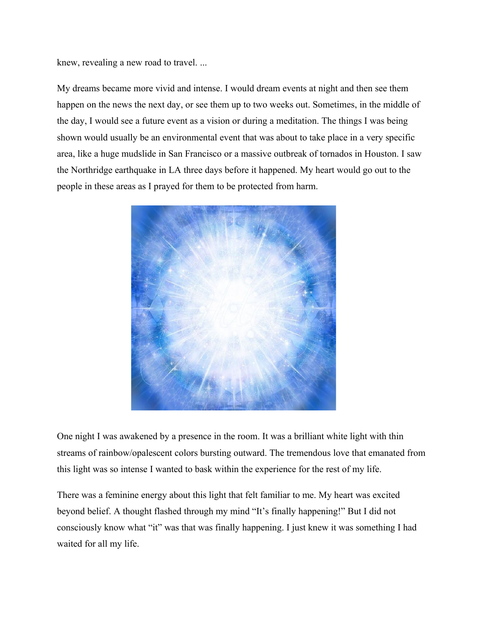knew, revealing a new road to travel. ...

My dreams became more vivid and intense. I would dream events at night and then see them happen on the news the next day, or see them up to two weeks out. Sometimes, in the middle of the day, I would see a future event as a vision or during a meditation. The things I was being shown would usually be an environmental event that was about to take place in a very specific area, like a huge mudslide in San Francisco or a massive outbreak of tornados in Houston. I saw the Northridge earthquake in LA three days before it happened. My heart would go out to the people in these areas as I prayed for them to be protected from harm.



One night I was awakened by a presence in the room. It was a brilliant white light with thin streams of rainbow/opalescent colors bursting outward. The tremendous love that emanated from this light was so intense I wanted to bask within the experience for the rest of my life.

There was a feminine energy about this light that felt familiar to me. My heart was excited beyond belief. A thought flashed through my mind "It's finally happening!" But I did not consciously know what "it" was that was finally happening. I just knew it was something I had waited for all my life.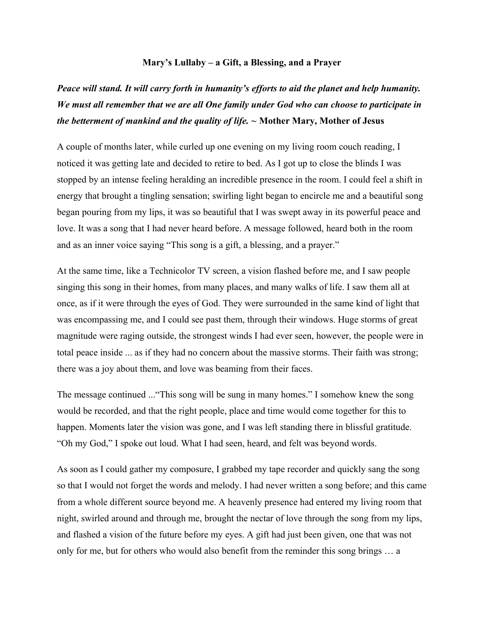#### **Mary's Lullaby – a Gift, a Blessing, and a Prayer**

## *Peace will stand. It will carry forth in humanity's efforts to aid the planet and help humanity. We must all remember that we are all One family under God who can choose to participate in the betterment of mankind and the quality of life. ~* **Mother Mary, Mother of Jesus**

A couple of months later, while curled up one evening on my living room couch reading, I noticed it was getting late and decided to retire to bed. As I got up to close the blinds I was stopped by an intense feeling heralding an incredible presence in the room. I could feel a shift in energy that brought a tingling sensation; swirling light began to encircle me and a beautiful song began pouring from my lips, it was so beautiful that I was swept away in its powerful peace and love. It was a song that I had never heard before. A message followed, heard both in the room and as an inner voice saying "This song is a gift, a blessing, and a prayer."

At the same time, like a Technicolor TV screen, a vision flashed before me, and I saw people singing this song in their homes, from many places, and many walks of life. I saw them all at once, as if it were through the eyes of God. They were surrounded in the same kind of light that was encompassing me, and I could see past them, through their windows. Huge storms of great magnitude were raging outside, the strongest winds I had ever seen, however, the people were in total peace inside ... as if they had no concern about the massive storms. Their faith was strong; there was a joy about them, and love was beaming from their faces.

The message continued ..."This song will be sung in many homes." I somehow knew the song would be recorded, and that the right people, place and time would come together for this to happen. Moments later the vision was gone, and I was left standing there in blissful gratitude. "Oh my God," I spoke out loud. What I had seen, heard, and felt was beyond words.

As soon as I could gather my composure, I grabbed my tape recorder and quickly sang the song so that I would not forget the words and melody. I had never written a song before; and this came from a whole different source beyond me. A heavenly presence had entered my living room that night, swirled around and through me, brought the nectar of love through the song from my lips, and flashed a vision of the future before my eyes. A gift had just been given, one that was not only for me, but for others who would also benefit from the reminder this song brings … a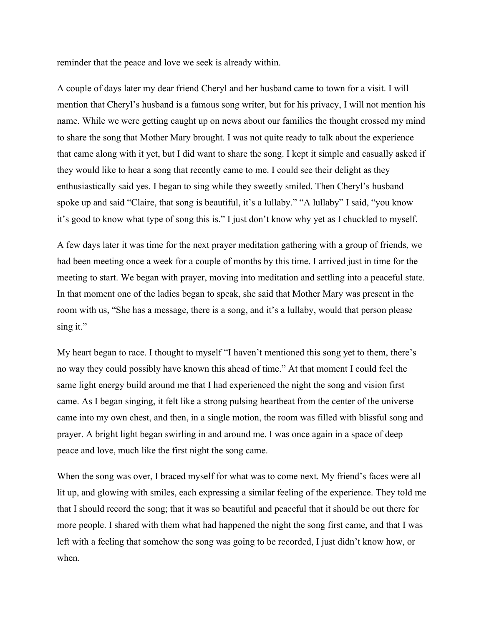reminder that the peace and love we seek is already within.

A couple of days later my dear friend Cheryl and her husband came to town for a visit. I will mention that Cheryl's husband is a famous song writer, but for his privacy, I will not mention his name. While we were getting caught up on news about our families the thought crossed my mind to share the song that Mother Mary brought. I was not quite ready to talk about the experience that came along with it yet, but I did want to share the song. I kept it simple and casually asked if they would like to hear a song that recently came to me. I could see their delight as they enthusiastically said yes. I began to sing while they sweetly smiled. Then Cheryl's husband spoke up and said "Claire, that song is beautiful, it's a lullaby." "A lullaby" I said, "you know it's good to know what type of song this is." I just don't know why yet as I chuckled to myself.

A few days later it was time for the next prayer meditation gathering with a group of friends, we had been meeting once a week for a couple of months by this time. I arrived just in time for the meeting to start. We began with prayer, moving into meditation and settling into a peaceful state. In that moment one of the ladies began to speak, she said that Mother Mary was present in the room with us, "She has a message, there is a song, and it's a lullaby, would that person please sing it."

My heart began to race. I thought to myself "I haven't mentioned this song yet to them, there's no way they could possibly have known this ahead of time." At that moment I could feel the same light energy build around me that I had experienced the night the song and vision first came. As I began singing, it felt like a strong pulsing heartbeat from the center of the universe came into my own chest, and then, in a single motion, the room was filled with blissful song and prayer. A bright light began swirling in and around me. I was once again in a space of deep peace and love, much like the first night the song came.

When the song was over, I braced myself for what was to come next. My friend's faces were all lit up, and glowing with smiles, each expressing a similar feeling of the experience. They told me that I should record the song; that it was so beautiful and peaceful that it should be out there for more people. I shared with them what had happened the night the song first came, and that I was left with a feeling that somehow the song was going to be recorded, I just didn't know how, or when.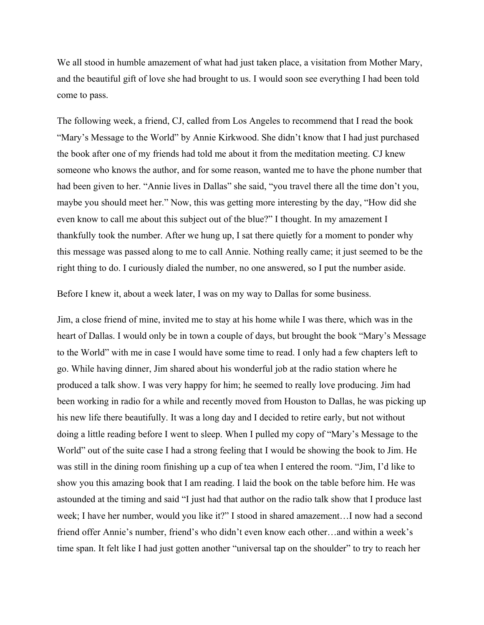We all stood in humble amazement of what had just taken place, a visitation from Mother Mary, and the beautiful gift of love she had brought to us. I would soon see everything I had been told come to pass.

The following week, a friend, CJ, called from Los Angeles to recommend that I read the book "Mary's Message to the World" by Annie Kirkwood. She didn't know that I had just purchased the book after one of my friends had told me about it from the meditation meeting. CJ knew someone who knows the author, and for some reason, wanted me to have the phone number that had been given to her. "Annie lives in Dallas" she said, "you travel there all the time don't you, maybe you should meet her." Now, this was getting more interesting by the day, "How did she even know to call me about this subject out of the blue?" I thought. In my amazement I thankfully took the number. After we hung up, I sat there quietly for a moment to ponder why this message was passed along to me to call Annie. Nothing really came; it just seemed to be the right thing to do. I curiously dialed the number, no one answered, so I put the number aside.

Before I knew it, about a week later, I was on my way to Dallas for some business.

Jim, a close friend of mine, invited me to stay at his home while I was there, which was in the heart of Dallas. I would only be in town a couple of days, but brought the book "Mary's Message to the World" with me in case I would have some time to read. I only had a few chapters left to go. While having dinner, Jim shared about his wonderful job at the radio station where he produced a talk show. I was very happy for him; he seemed to really love producing. Jim had been working in radio for a while and recently moved from Houston to Dallas, he was picking up his new life there beautifully. It was a long day and I decided to retire early, but not without doing a little reading before I went to sleep. When I pulled my copy of "Mary's Message to the World" out of the suite case I had a strong feeling that I would be showing the book to Jim. He was still in the dining room finishing up a cup of tea when I entered the room. "Jim, I'd like to show you this amazing book that I am reading. I laid the book on the table before him. He was astounded at the timing and said "I just had that author on the radio talk show that I produce last week; I have her number, would you like it?" I stood in shared amazement…I now had a second friend offer Annie's number, friend's who didn't even know each other…and within a week's time span. It felt like I had just gotten another "universal tap on the shoulder" to try to reach her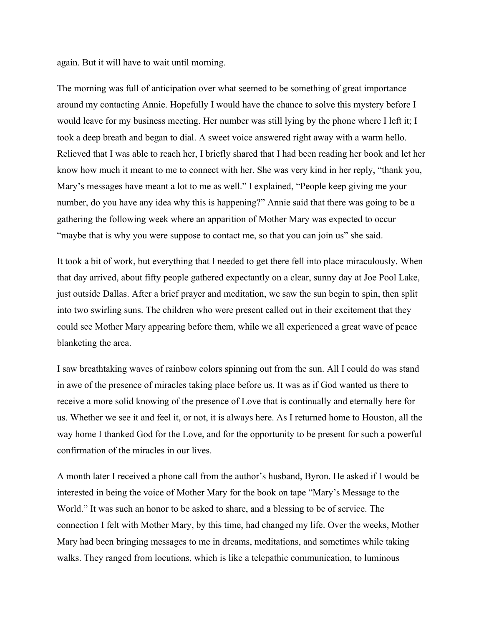again. But it will have to wait until morning.

The morning was full of anticipation over what seemed to be something of great importance around my contacting Annie. Hopefully I would have the chance to solve this mystery before I would leave for my business meeting. Her number was still lying by the phone where I left it; I took a deep breath and began to dial. A sweet voice answered right away with a warm hello. Relieved that I was able to reach her, I briefly shared that I had been reading her book and let her know how much it meant to me to connect with her. She was very kind in her reply, "thank you, Mary's messages have meant a lot to me as well." I explained, "People keep giving me your number, do you have any idea why this is happening?" Annie said that there was going to be a gathering the following week where an apparition of Mother Mary was expected to occur "maybe that is why you were suppose to contact me, so that you can join us" she said.

It took a bit of work, but everything that I needed to get there fell into place miraculously. When that day arrived, about fifty people gathered expectantly on a clear, sunny day at Joe Pool Lake, just outside Dallas. After a brief prayer and meditation, we saw the sun begin to spin, then split into two swirling suns. The children who were present called out in their excitement that they could see Mother Mary appearing before them, while we all experienced a great wave of peace blanketing the area.

I saw breathtaking waves of rainbow colors spinning out from the sun. All I could do was stand in awe of the presence of miracles taking place before us. It was as if God wanted us there to receive a more solid knowing of the presence of Love that is continually and eternally here for us. Whether we see it and feel it, or not, it is always here. As I returned home to Houston, all the way home I thanked God for the Love, and for the opportunity to be present for such a powerful confirmation of the miracles in our lives.

A month later I received a phone call from the author's husband, Byron. He asked if I would be interested in being the voice of Mother Mary for the book on tape "Mary's Message to the World." It was such an honor to be asked to share, and a blessing to be of service. The connection I felt with Mother Mary, by this time, had changed my life. Over the weeks, Mother Mary had been bringing messages to me in dreams, meditations, and sometimes while taking walks. They ranged from locutions, which is like a telepathic communication, to luminous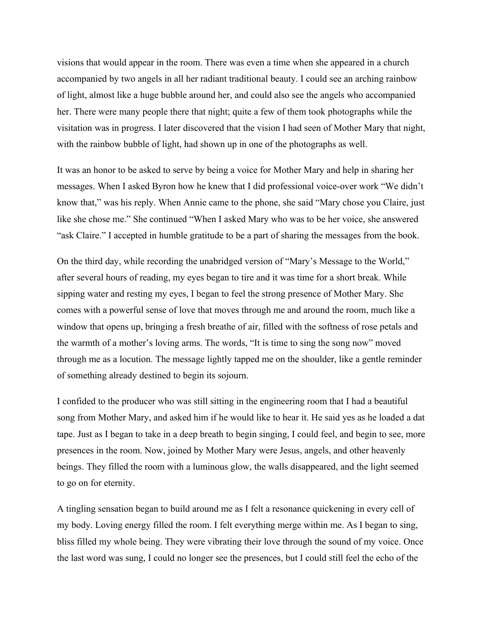visions that would appear in the room. There was even a time when she appeared in a church accompanied by two angels in all her radiant traditional beauty. I could see an arching rainbow of light, almost like a huge bubble around her, and could also see the angels who accompanied her. There were many people there that night; quite a few of them took photographs while the visitation was in progress. I later discovered that the vision I had seen of Mother Mary that night, with the rainbow bubble of light, had shown up in one of the photographs as well.

It was an honor to be asked to serve by being a voice for Mother Mary and help in sharing her messages. When I asked Byron how he knew that I did professional voice-over work "We didn't know that," was his reply. When Annie came to the phone, she said "Mary chose you Claire, just like she chose me." She continued "When I asked Mary who was to be her voice, she answered "ask Claire." I accepted in humble gratitude to be a part of sharing the messages from the book.

On the third day, while recording the unabridged version of "Mary's Message to the World," after several hours of reading, my eyes began to tire and it was time for a short break. While sipping water and resting my eyes, I began to feel the strong presence of Mother Mary. She comes with a powerful sense of love that moves through me and around the room, much like a window that opens up, bringing a fresh breathe of air, filled with the softness of rose petals and the warmth of a mother's loving arms. The words, "It is time to sing the song now" moved through me as a locution. The message lightly tapped me on the shoulder, like a gentle reminder of something already destined to begin its sojourn.

I confided to the producer who was still sitting in the engineering room that I had a beautiful song from Mother Mary, and asked him if he would like to hear it. He said yes as he loaded a dat tape. Just as I began to take in a deep breath to begin singing, I could feel, and begin to see, more presences in the room. Now, joined by Mother Mary were Jesus, angels, and other heavenly beings. They filled the room with a luminous glow, the walls disappeared, and the light seemed to go on for eternity.

A tingling sensation began to build around me as I felt a resonance quickening in every cell of my body. Loving energy filled the room. I felt everything merge within me. As I began to sing, bliss filled my whole being. They were vibrating their love through the sound of my voice. Once the last word was sung, I could no longer see the presences, but I could still feel the echo of the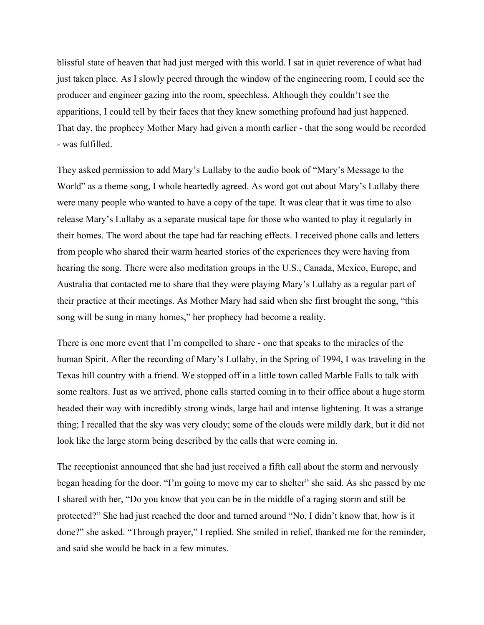blissful state of heaven that had just merged with this world. I sat in quiet reverence of what had just taken place. As I slowly peered through the window of the engineering room, I could see the producer and engineer gazing into the room, speechless. Although they couldn't see the apparitions, I could tell by their faces that they knew something profound had just happened. That day, the prophecy Mother Mary had given a month earlier - that the song would be recorded - was fulfilled.

They asked permission to add Mary's Lullaby to the audio book of "Mary's Message to the World" as a theme song, I whole heartedly agreed. As word got out about Mary's Lullaby there were many people who wanted to have a copy of the tape. It was clear that it was time to also release Mary's Lullaby as a separate musical tape for those who wanted to play it regularly in their homes. The word about the tape had far reaching effects. I received phone calls and letters from people who shared their warm hearted stories of the experiences they were having from hearing the song. There were also meditation groups in the U.S., Canada, Mexico, Europe, and Australia that contacted me to share that they were playing Mary's Lullaby as a regular part of their practice at their meetings. As Mother Mary had said when she first brought the song, "this song will be sung in many homes," her prophecy had become a reality.

There is one more event that I'm compelled to share - one that speaks to the miracles of the human Spirit. After the recording of Mary's Lullaby, in the Spring of 1994, I was traveling in the Texas hill country with a friend. We stopped off in a little town called Marble Falls to talk with some realtors. Just as we arrived, phone calls started coming in to their office about a huge storm headed their way with incredibly strong winds, large hail and intense lightening. It was a strange thing; I recalled that the sky was very cloudy; some of the clouds were mildly dark, but it did not look like the large storm being described by the calls that were coming in.

The receptionist announced that she had just received a fifth call about the storm and nervously began heading for the door. "I'm going to move my car to shelter" she said. As she passed by me I shared with her, "Do you know that you can be in the middle of a raging storm and still be protected?" She had just reached the door and turned around "No, I didn't know that, how is it done?" she asked. "Through prayer," I replied. She smiled in relief, thanked me for the reminder, and said she would be back in a few minutes.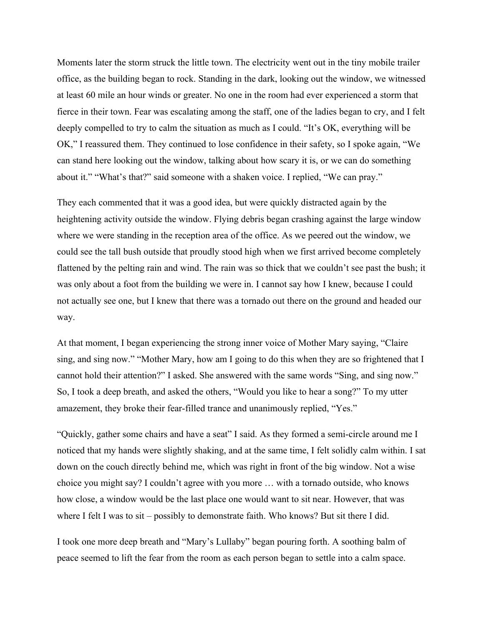Moments later the storm struck the little town. The electricity went out in the tiny mobile trailer office, as the building began to rock. Standing in the dark, looking out the window, we witnessed at least 60 mile an hour winds or greater. No one in the room had ever experienced a storm that fierce in their town. Fear was escalating among the staff, one of the ladies began to cry, and I felt deeply compelled to try to calm the situation as much as I could. "It's OK, everything will be OK," I reassured them. They continued to lose confidence in their safety, so I spoke again, "We can stand here looking out the window, talking about how scary it is, or we can do something about it." "What's that?" said someone with a shaken voice. I replied, "We can pray."

They each commented that it was a good idea, but were quickly distracted again by the heightening activity outside the window. Flying debris began crashing against the large window where we were standing in the reception area of the office. As we peered out the window, we could see the tall bush outside that proudly stood high when we first arrived become completely flattened by the pelting rain and wind. The rain was so thick that we couldn't see past the bush; it was only about a foot from the building we were in. I cannot say how I knew, because I could not actually see one, but I knew that there was a tornado out there on the ground and headed our way.

At that moment, I began experiencing the strong inner voice of Mother Mary saying, "Claire sing, and sing now." "Mother Mary, how am I going to do this when they are so frightened that I cannot hold their attention?" I asked. She answered with the same words "Sing, and sing now." So, I took a deep breath, and asked the others, "Would you like to hear a song?" To my utter amazement, they broke their fear-filled trance and unanimously replied, "Yes."

"Quickly, gather some chairs and have a seat" I said. As they formed a semi-circle around me I noticed that my hands were slightly shaking, and at the same time, I felt solidly calm within. I sat down on the couch directly behind me, which was right in front of the big window. Not a wise choice you might say? I couldn't agree with you more … with a tornado outside, who knows how close, a window would be the last place one would want to sit near. However, that was where I felt I was to sit – possibly to demonstrate faith. Who knows? But sit there I did.

I took one more deep breath and "Mary's Lullaby" began pouring forth. A soothing balm of peace seemed to lift the fear from the room as each person began to settle into a calm space.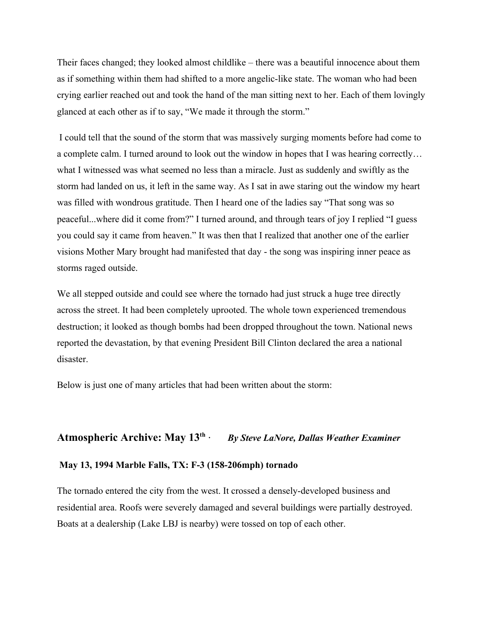Their faces changed; they looked almost childlike – there was a beautiful innocence about them as if something within them had shifted to a more angelic-like state. The woman who had been crying earlier reached out and took the hand of the man sitting next to her. Each of them lovingly glanced at each other as if to say, "We made it through the storm."

 I could tell that the sound of the storm that was massively surging moments before had come to a complete calm. I turned around to look out the window in hopes that I was hearing correctly… what I witnessed was what seemed no less than a miracle. Just as suddenly and swiftly as the storm had landed on us, it left in the same way. As I sat in awe staring out the window my heart was filled with wondrous gratitude. Then I heard one of the ladies say "That song was so peaceful...where did it come from?" I turned around, and through tears of joy I replied "I guess you could say it came from heaven." It was then that I realized that another one of the earlier visions Mother Mary brought had manifested that day - the song was inspiring inner peace as storms raged outside.

We all stepped outside and could see where the tornado had just struck a huge tree directly across the street. It had been completely uprooted. The whole town experienced tremendous destruction; it looked as though bombs had been dropped throughout the town. National news reported the devastation, by that evening President Bill Clinton declared the area a national disaster.

Below is just one of many articles that had been written about the storm:

#### **Atmospheric Archive: May 13th ·** *By Steve LaNore, Dallas Weather Examiner*

#### **May 13, 1994 Marble Falls, TX: F-3 (158-206mph) tornado**

The tornado entered the city from the west. It crossed a densely-developed business and residential area. Roofs were severely damaged and several buildings were partially destroyed. Boats at a dealership (Lake LBJ is nearby) were tossed on top of each other.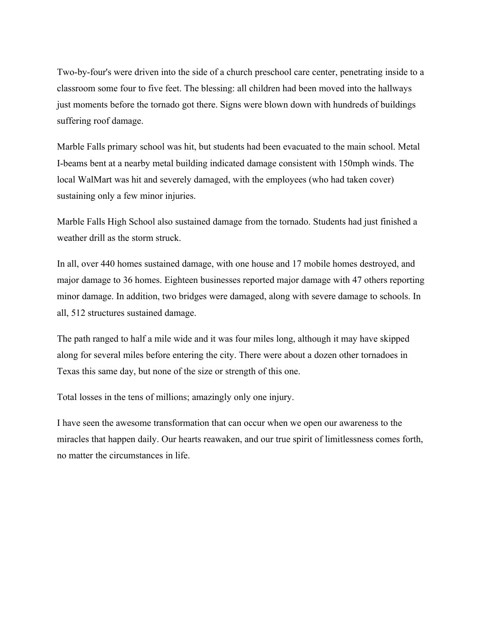Two-by-four's were driven into the side of a church preschool care center, penetrating inside to a classroom some four to five feet. The blessing: all children had been moved into the hallways just moments before the tornado got there. Signs were blown down with hundreds of buildings suffering roof damage.

Marble Falls primary school was hit, but students had been evacuated to the main school. Metal I-beams bent at a nearby metal building indicated damage consistent with 150mph winds. The local WalMart was hit and severely damaged, with the employees (who had taken cover) sustaining only a few minor injuries.

Marble Falls High School also sustained damage from the tornado. Students had just finished a weather drill as the storm struck.

In all, over 440 homes sustained damage, with one house and 17 mobile homes destroyed, and major damage to 36 homes. Eighteen businesses reported major damage with 47 others reporting minor damage. In addition, two bridges were damaged, along with severe damage to schools. In all, 512 structures sustained damage.

The path ranged to half a mile wide and it was four miles long, although it may have skipped along for several miles before entering the city. There were about a dozen other tornadoes in Texas this same day, but none of the size or strength of this one.

Total losses in the tens of millions; amazingly only one injury.

I have seen the awesome transformation that can occur when we open our awareness to the miracles that happen daily. Our hearts reawaken, and our true spirit of limitlessness comes forth, no matter the circumstances in life.